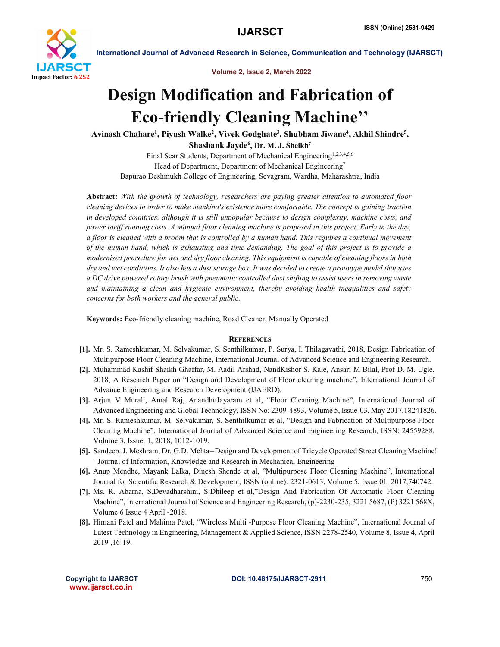

International Journal of Advanced Research in Science, Communication and Technology (IJARSCT)

Volume 2, Issue 2, March 2022

## Design Modification and Fabrication of Eco-friendly Cleaning Machine''

Avinash Chahare<sup>1</sup>, Piyush Walke<sup>2</sup>, Vivek Godghate<sup>3</sup>, Shubham Jiwane<sup>4</sup>, Akhil Shindre<sup>5</sup>,

Shashank Jayde $^6$ , Dr. M. J. Sheikh $^7$ 

Final Sear Students, Department of Mechanical Engineering<sup>1,2,3,4,5,6</sup> Head of Department, Department of Mechanical Engineering<sup>7</sup> Bapurao Deshmukh College of Engineering, Sevagram, Wardha, Maharashtra, India

Abstract: *With the growth of technology, researchers are paying greater attention to automated floor cleaning devices in order to make mankind's existence more comfortable. The concept is gaining traction in developed countries, although it is still unpopular because to design complexity, machine costs, and power tariff running costs. A manual floor cleaning machine is proposed in this project. Early in the day, a floor is cleaned with a broom that is controlled by a human hand. This requires a continual movement of the human hand, which is exhausting and time demanding. The goal of this project is to provide a modernised procedure for wet and dry floor cleaning. This equipment is capable of cleaning floors in both dry and wet conditions. It also has a dust storage box. It was decided to create a prototype model that uses a DC drive powered rotary brush with pneumatic controlled dust shifting to assist users in removing waste and maintaining a clean and hygienic environment, thereby avoiding health inequalities and safety concerns for both workers and the general public.*

Keywords: Eco-friendly cleaning machine, Road Cleaner, Manually Operated

## **REFERENCES**

- [1]. Mr. S. Rameshkumar, M. Selvakumar, S. Senthilkumar, P. Surya, I. Thilagavathi, 2018, Design Fabrication of Multipurpose Floor Cleaning Machine, International Journal of Advanced Science and Engineering Research.
- [2]. Muhammad Kashif Shaikh Ghaffar, M. Aadil Arshad, NandKishor S. Kale, Ansari M Bilal, Prof D. M. Ugle, 2018, A Research Paper on "Design and Development of Floor cleaning machine", International Journal of Advance Engineering and Research Development (IJAERD).
- [3]. Arjun V Murali, Amal Raj, AnandhuJayaram et al, "Floor Cleaning Machine", International Journal of Advanced Engineering and Global Technology, ISSN No: 2309-4893, Volume 5, Issue-03, May 2017,18241826.
- [4]. Mr. S. Rameshkumar, M. Selvakumar, S. Senthilkumar et al, "Design and Fabrication of Multipurpose Floor Cleaning Machine", International Journal of Advanced Science and Engineering Research, ISSN: 24559288, Volume 3, Issue: 1, 2018, 1012-1019.
- [5]. Sandeep. J. Meshram, Dr. G.D. Mehta--Design and Development of Tricycle Operated Street Cleaning Machine! - Journal of Information, Knowledge and Research in Mechanical Engineering
- [6]. Anup Mendhe, Mayank Lalka, Dinesh Shende et al, "Multipurpose Floor Cleaning Machine", International Journal for Scientific Research & Development, ISSN (online): 2321-0613, Volume 5, Issue 01, 2017,740742.
- [7]. Ms. R. Abarna, S.Devadharshini, S.Dhileep et al,"Design And Fabrication Of Automatic Floor Cleaning Machine", International Journal of Science and Engineering Research, (p)-2230-235, 3221 5687, (P) 3221 568X, Volume 6 Issue 4 April -2018.
- [8]. Himani Patel and Mahima Patel, "Wireless Multi -Purpose Floor Cleaning Machine", International Journal of Latest Technology in Engineering, Management & Applied Science, ISSN 2278-2540, Volume 8, Issue 4, April 2019 ,16-19.